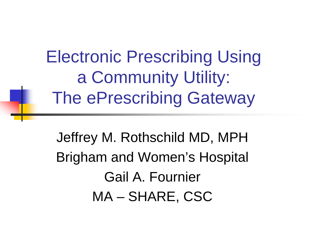Electronic Prescribing Using a Community Utility: The ePrescribing Gateway

Jeffrey M. Rothschild MD, MPH Brigham and Women's Hospital Gail A. Fournier MA – SHARE, CSC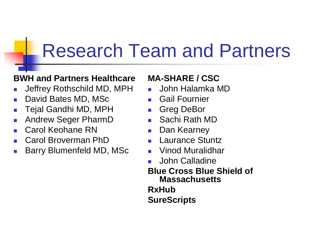### Research Team and Partners

#### **BWH and Partners Healthcare**

- P. Jeffrey Rothschild MD, MPH
- k. David Bates MD, MSc
- $\mathcal{C}^{\mathcal{A}}$ Tejal Gandhi MD, MPH
- $\mathbb{R}^3$ Andrew Seger PharmD
- P. Carol Keohane RN
- P. Carol Broverman PhD
- k. Barry Blumenfeld MD, MSc

#### **MA-SHARE / CSC**

- P. John Halamka MD
- k. Gail Fournier
- $\mathcal{A}$ Greg DeBor
- k. Sachi Rath MD
- P. Dan Kearney
- P. Laurance Stuntz
- M. Vinod Muralidhar
- P. John Calladine
- **Blue Cross Blue Shield of Massachusetts**

**RxHub**

**SureScripts**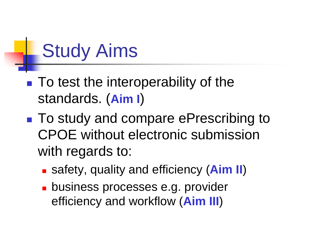# Study Aims

- To test the interoperability of the standards. (**Aim I**)
- ■ To study and compare ePrescribing to CPOE without electronic submission with regards to:
	- safety, quality and efficiency (**Aim II**)
	- **business processes e.g. provider** efficiency and workflow (**Aim III**)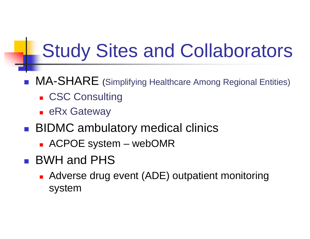### Study Sites and Collaborators

- **MA-SHARE** (Simplifying Healthcare Among Regional Entities)
	- **Example CSC Consulting**
	- **E** eRx Gateway
- **BIDMC ambulatory medical clinics** 
	- ACPOE system webOMR
- BWH and PHS
	- **Adverse drug event (ADE) outpatient monitoring** system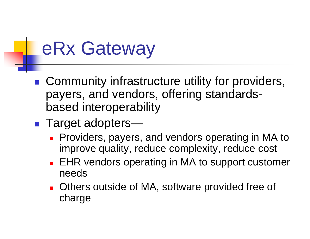## eRx Gateway

- **Community infrastructure utility for providers,** payers, and vendors, offering standardsbased interoperability
- p. ■ Target adopters—
	- **Providers, payers, and vendors operating in MA to** improve quality, reduce complexity, reduce cost
	- × EHR vendors operating in MA to support customer needs
	- **Deta Control** Outside of MA, software provided free of charge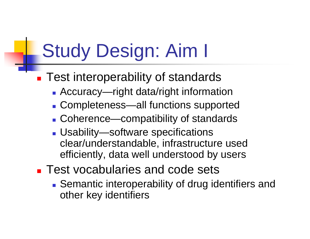## Study Design: Aim I

- **Test interoperability of standards** 
	- Accuracy—right data/right information
	- Completeness—all functions supported
	- Coherence—compatibility of standards
	- Usability—software specifications clear/understandable, infrastructure used efficiently, data well understood by users
- **Test vocabularies and code sets** 
	- **Semantic interoperability of drug identifiers and** other key identifiers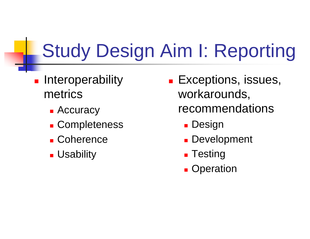# Study Design Aim I: Reporting

- **Interoperability** metrics
	- Accuracy
	- **Completeness**
	- Coherence
	- **L** Usability
- **Exceptions, issues,** workarounds, recommendations
	- **-** Design
	- **Development**
	- **Testing**
	- **Q**peration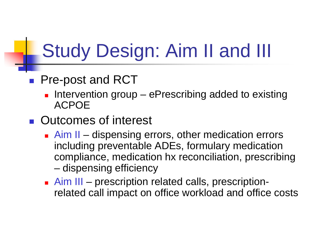# Study Design: Aim II and III

#### **Pre-post and RCT**

**Intervention group – ePrescribing added to existing** ACPOE

#### **Dutcomes of interest**

- **Aim II dispensing errors, other medication errors** including preventable ADEs, formulary medication compliance, medication hx reconciliation, prescribing and the state of the dispensing efficiency
- **Aim III** prescription related calls, prescriptionrelated call impact on office workload and office costs